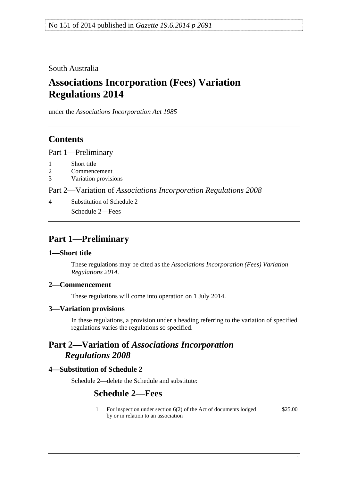<span id="page-0-0"></span>South Australia

# **Associations Incorporation (Fees) Variation Regulations 2014**

under the *Associations Incorporation Act 1985*

## **Contents**

[Part 1—Preliminary](#page-0-0)

- [1 Short title](#page-0-0)
- [2 Commencement](#page-0-0)
- [3 Variation provisions](#page-0-0)

Part 2—Variation of *[Associations Incorporation Regulations 2008](#page-0-0)*

[4 Substitution of Schedule 2](#page-0-0) [Schedule 2—Fees](#page-0-0) 

## **Part 1—Preliminary**

#### **1—Short title**

These regulations may be cited as the *Associations Incorporation (Fees) Variation Regulations 2014*.

## **2—Commencement**

These regulations will come into operation on 1 July 2014.

#### **3—Variation provisions**

In these regulations, a provision under a heading referring to the variation of specified regulations varies the regulations so specified.

## **Part 2—Variation of** *Associations Incorporation Regulations 2008*

## **4—Substitution of Schedule 2**

Schedule 2—delete the Schedule and substitute:

## **Schedule 2—Fees**

1 For inspection under section 6(2) of the Act of documents lodged by or in relation to an association \$25.00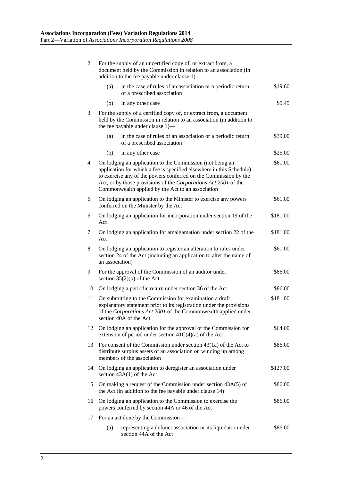| $\overline{2}$ | For the supply of an uncertified copy of, or extract from, a<br>document held by the Commission in relation to an association (in<br>addition to the fee payable under clause 1)-                                                                                                                                                        |          |
|----------------|------------------------------------------------------------------------------------------------------------------------------------------------------------------------------------------------------------------------------------------------------------------------------------------------------------------------------------------|----------|
|                | in the case of rules of an association or a periodic return<br>(a)<br>of a prescribed association                                                                                                                                                                                                                                        | \$19.60  |
|                | (b)<br>in any other case                                                                                                                                                                                                                                                                                                                 | \$5.45   |
| 3              | For the supply of a certified copy of, or extract from, a document<br>held by the Commission in relation to an association (in addition to<br>the fee payable under clause 1)—                                                                                                                                                           |          |
|                | (a)<br>in the case of rules of an association or a periodic return<br>of a prescribed association                                                                                                                                                                                                                                        | \$39.00  |
|                | (b)<br>in any other case                                                                                                                                                                                                                                                                                                                 | \$25.00  |
| 4              | On lodging an application to the Commission (not being an<br>\$61.00<br>application for which a fee is specified elsewhere in this Schedule)<br>to exercise any of the powers conferred on the Commission by the<br>Act, or by those provisions of the Corporations Act 2001 of the<br>Commonwealth applied by the Act to an association |          |
| 5              | On lodging an application to the Minister to exercise any powers<br>conferred on the Minister by the Act                                                                                                                                                                                                                                 | \$61.00  |
| 6              | On lodging an application for incorporation under section 19 of the<br>Act                                                                                                                                                                                                                                                               | \$181.00 |
| 7              | On lodging an application for amalgamation under section 22 of the<br>Act                                                                                                                                                                                                                                                                | \$181.00 |
| 8              | On lodging an application to register an alteration to rules under<br>section 24 of the Act (including an application to alter the name of<br>an association)                                                                                                                                                                            | \$61.00  |
| 9              | For the approval of the Commission of an auditor under<br>section $35(2)(b)$ of the Act                                                                                                                                                                                                                                                  | \$86.00  |
| 10             | On lodging a periodic return under section 36 of the Act                                                                                                                                                                                                                                                                                 | \$86.00  |
| 11             | On submitting to the Commission for examination a draft<br>explanatory statement prior to its registration under the provisions<br>of the Corporations Act 2001 of the Commonwealth applied under<br>section 40A of the Act                                                                                                              | \$181.00 |
| 12             | On lodging an application for the approval of the Commission for<br>extension of period under section $41C(4)(a)$ of the Act                                                                                                                                                                                                             | \$64.00  |
| 13             | For consent of the Commission under section $43(1a)$ of the Act to<br>distribute surplus assets of an association on winding up among<br>members of the association                                                                                                                                                                      | \$86.00  |
| 14             | On lodging an application to deregister an association under<br>section $43A(1)$ of the Act                                                                                                                                                                                                                                              | \$127.00 |
| 15             | On making a request of the Commission under section 43A(5) of<br>the Act (in addition to the fee payable under clause 14)                                                                                                                                                                                                                | \$86.00  |
| 16             | \$86.00<br>On lodging an application to the Commission to exercise the<br>powers conferred by section 44A or 46 of the Act                                                                                                                                                                                                               |          |
| 17             | For an act done by the Commission-                                                                                                                                                                                                                                                                                                       |          |
|                | (a)<br>representing a defunct association or its liquidator under<br>section 44A of the Act                                                                                                                                                                                                                                              | \$86.00  |